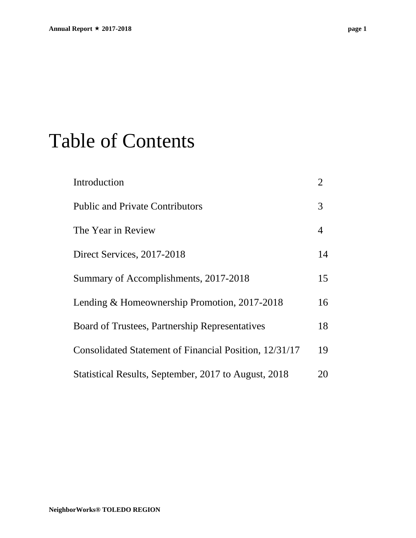## Table of Contents

| Introduction                                           | $\overline{2}$ |
|--------------------------------------------------------|----------------|
| <b>Public and Private Contributors</b>                 | 3              |
| The Year in Review                                     | 4              |
| Direct Services, 2017-2018                             | 14             |
| Summary of Accomplishments, 2017-2018                  | 15             |
| Lending & Homeownership Promotion, 2017-2018           | 16             |
| Board of Trustees, Partnership Representatives         | 18             |
| Consolidated Statement of Financial Position, 12/31/17 | 19             |
| Statistical Results, September, 2017 to August, 2018   | 20             |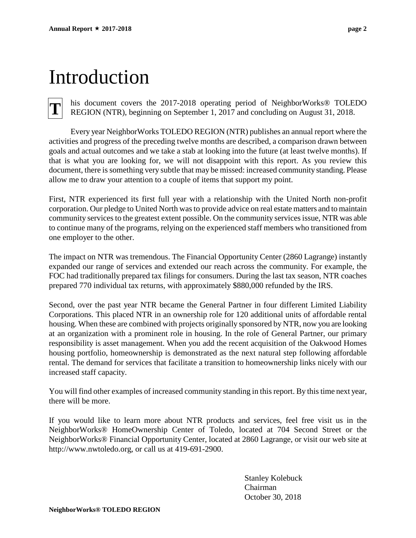## Introduction

**T**

his document covers the 2017-2018 operating period of NeighborWorks® TOLEDO REGION (NTR), beginning on September 1, 2017 and concluding on August 31, 2018.

Every year NeighborWorks TOLEDO REGION (NTR) publishes an annual report where the activities and progress of the preceding twelve months are described, a comparison drawn between goals and actual outcomes and we take a stab at looking into the future (at least twelve months). If that is what you are looking for, we will not disappoint with this report. As you review this document, there is something very subtle that may be missed: increased community standing. Please allow me to draw your attention to a couple of items that support my point.

First, NTR experienced its first full year with a relationship with the United North non-profit corporation. Our pledge to United North was to provide advice on real estate matters and to maintain community services to the greatest extent possible. On the community services issue, NTR was able to continue many of the programs, relying on the experienced staff members who transitioned from one employer to the other.

The impact on NTR was tremendous. The Financial Opportunity Center (2860 Lagrange) instantly expanded our range of services and extended our reach across the community. For example, the FOC had traditionally prepared tax filings for consumers. During the last tax season, NTR coaches prepared 770 individual tax returns, with approximately \$880,000 refunded by the IRS.

Second, over the past year NTR became the General Partner in four different Limited Liability Corporations. This placed NTR in an ownership role for 120 additional units of affordable rental housing. When these are combined with projects originally sponsored by NTR, now you are looking at an organization with a prominent role in housing. In the role of General Partner, our primary responsibility is asset management. When you add the recent acquisition of the Oakwood Homes housing portfolio, homeownership is demonstrated as the next natural step following affordable rental. The demand for services that facilitate a transition to homeownership links nicely with our increased staff capacity.

You will find other examples of increased community standing in this report. By this time next year, there will be more.

If you would like to learn more about NTR products and services, feel free visit us in the NeighborWorks® HomeOwnership Center of Toledo, located at 704 Second Street or the NeighborWorks® Financial Opportunity Center, located at 2860 Lagrange, or visit our web site at http://www.nwtoledo.org, or call us at 419-691-2900.

> Stanley Kolebuck Chairman October 30, 2018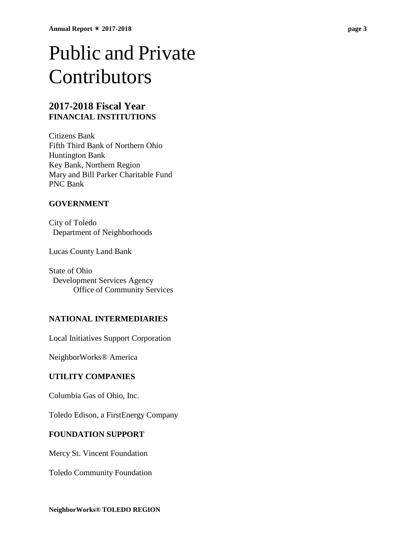## Public and Private Contributors

### **2017-2018 Fiscal Year FINANCIAL INSTITUTIONS**

Citizens Bank Fifth Third Bank of Northern Ohio Huntington Bank Key Bank, Northern Region Mary and Bill Parker Charitable Fund PNC Bank

### **GOVERNMENT**

City of Toledo Department of Neighborhoods

Lucas County Land Bank

State of Ohio Development Services Agency Office of Community Services

### **NATIONAL INTERMEDIARIES**

Local Initiatives Support Corporation

NeighborWorks® America

### **UTILITY COMPANIES**

Columbia Gas of Ohio, Inc.

Toledo Edison, a FirstEnergy Company

### **FOUNDATION SUPPORT**

Mercy St. Vincent Foundation

Toledo Community Foundation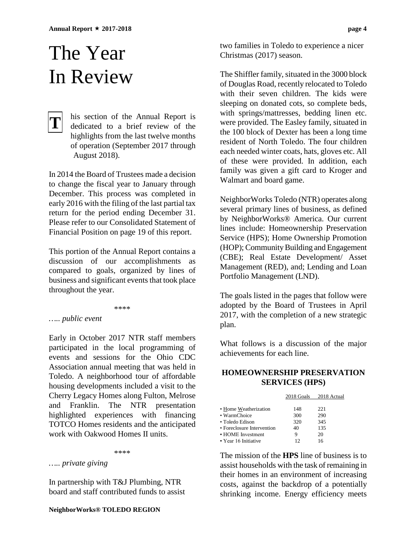## The Year In Review

### his section of the Annual Report is dedicated to a brief review of the highlights from the last twelve months of operation (September 2017 through August 2018). **T**

In 2014 the Board of Trustees made a decision to change the fiscal year to January through December. This process was completed in early 2016 with the filing of the last partial tax return for the period ending December 31. Please refer to our Consolidated Statement of Financial Position on page 19 of this report.

This portion of the Annual Report contains a discussion of our accomplishments as compared to goals, organized by lines of business and significant events that took place throughout the year.

\*\*\*\*

### *….. public event*

Early in October 2017 NTR staff members participated in the local programming of events and sessions for the Ohio CDC Association annual meeting that was held in Toledo. A neighborhood tour of affordable housing developments included a visit to the Cherry Legacy Homes along Fulton, Melrose and Franklin. The NTR presentation highlighted experiences with financing TOTCO Homes residents and the anticipated work with Oakwood Homes II units.

\*\*\*\*

*….. private giving*

In partnership with T&J Plumbing, NTR board and staff contributed funds to assist

two families in Toledo to experience a nicer Christmas (2017) season.

The Shiffler family, situated in the 3000 block of Douglas Road, recently relocated to Toledo with their seven children. The kids were sleeping on donated cots, so complete beds, with springs/mattresses, bedding linen etc. were provided. The Easley family, situated in the 100 block of Dexter has been a long time resident of North Toledo. The four children each needed winter coats, hats, gloves etc. All of these were provided. In addition, each family was given a gift card to Kroger and Walmart and board game.

NeighborWorks Toledo (NTR) operates along several primary lines of business, as defined by NeighborWorks® America. Our current lines include: Homeownership Preservation Service (HPS); Home Ownership Promotion (HOP); Community Building and Engagement (CBE); Real Estate Development/ Asset Management (RED), and; Lending and Loan Portfolio Management (LND).

The goals listed in the pages that follow were adopted by the Board of Trustees in April 2017, with the completion of a new strategic plan.

What follows is a discussion of the major achievements for each line.

### **HOMEOWNERSHIP PRESERVATION SERVICES (HPS)**

|                            | 2018 Goals | 2018 Actual |
|----------------------------|------------|-------------|
|                            |            |             |
| • Home Weatherization      | 148        | 221         |
| • WarmChoice               | 300        | 290         |
| · Toledo Edison            | 320        | 345         |
| • Foreclosure Intervention | 40         | 135         |
| • HOME Investment          | 9          | 20          |
| • Year 16 Initiative       | 12         | 16          |
|                            |            |             |

The mission of the **HPS** line of business is to assist households with the task of remaining in their homes in an environment of increasing costs, against the backdrop of a potentially shrinking income. Energy efficiency meets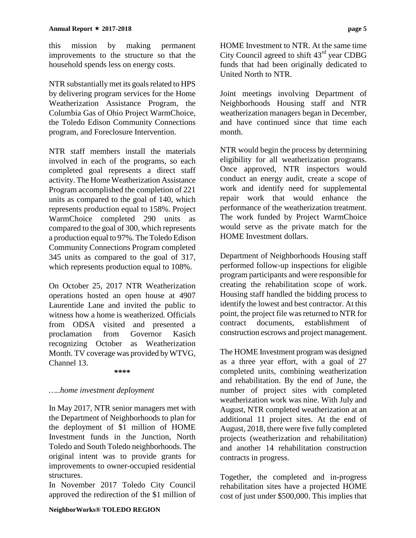this mission by making permanent improvements to the structure so that the household spends less on energy costs.

NTR substantially met its goals related to HPS by delivering program services for the Home Weatherization Assistance Program, the Columbia Gas of Ohio Project WarmChoice, the Toledo Edison Community Connections program, and Foreclosure Intervention.

NTR staff members install the materials involved in each of the programs, so each completed goal represents a direct staff activity. The Home Weatherization Assistance Program accomplished the completion of 221 units as compared to the goal of 140, which represents production equal to 158%. Project WarmChoice completed 290 units as compared to the goal of 300, which represents a production equal to 97%. The Toledo Edison Community Connections Program completed 345 units as compared to the goal of 317, which represents production equal to 108%.

On October 25, 2017 NTR Weatherization operations hosted an open house at 4907 Laurentide Lane and invited the public to witness how a home is weatherized. Officials from ODSA visited and presented a proclamation from Governor Kasich recognizing October as Weatherization Month. TV coverage was provided by WTVG, Channel 13.

**\*\*\*\***

### *…..home investment deployment*

In May 2017, NTR senior managers met with the Department of Neighborhoods to plan for the deployment of \$1 million of HOME Investment funds in the Junction, North Toledo and South Toledo neighborhoods. The original intent was to provide grants for improvements to owner-occupied residential structures.

In November 2017 Toledo City Council approved the redirection of the \$1 million of HOME Investment to NTR. At the same time City Council agreed to shift  $43<sup>rd</sup>$  year CDBG funds that had been originally dedicated to United North to NTR.

Joint meetings involving Department of Neighborhoods Housing staff and NTR weatherization managers began in December, and have continued since that time each month.

NTR would begin the process by determining eligibility for all weatherization programs. Once approved, NTR inspectors would conduct an energy audit, create a scope of work and identify need for supplemental repair work that would enhance the performance of the weatherization treatment. The work funded by Project WarmChoice would serve as the private match for the HOME Investment dollars.

Department of Neighborhoods Housing staff performed follow-up inspections for eligible program participants and were responsible for creating the rehabilitation scope of work. Housing staff handled the bidding process to identify the lowest and best contractor. At this point, the project file was returned to NTR for contract documents, establishment of construction escrows and project management.

The HOME Investment program was designed as a three year effort, with a goal of 27 completed units, combining weatherization and rehabilitation. By the end of June, the number of project sites with completed weatherization work was nine. With July and August, NTR completed weatherization at an additional 11 project sites. At the end of August, 2018, there were five fully completed projects (weatherization and rehabilitation) and another 14 rehabilitation construction contracts in progress.

Together, the completed and in-progress rehabilitation sites have a projected HOME cost of just under \$500,000. This implies that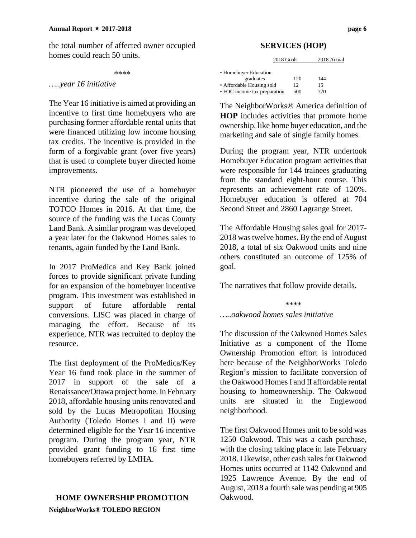the total number of affected owner occupied homes could reach 50 units.

\*\*\*\*

### *…..year 16 initiative*

The Year 16 initiative is aimed at providing an incentive to first time homebuyers who are purchasing former affordable rental units that were financed utilizing low income housing tax credits. The incentive is provided in the form of a forgivable grant (over five years) that is used to complete buyer directed home improvements.

NTR pioneered the use of a homebuyer incentive during the sale of the original TOTCO Homes in 2016. At that time, the source of the funding was the Lucas County Land Bank. A similar program was developed a year later for the Oakwood Homes sales to tenants, again funded by the Land Bank.

In 2017 ProMedica and Key Bank joined forces to provide significant private funding for an expansion of the homebuyer incentive program. This investment was established in support of future affordable rental conversions. LISC was placed in charge of managing the effort. Because of its experience, NTR was recruited to deploy the resource.

The first deployment of the ProMedica/Key Year 16 fund took place in the summer of 2017 in support of the sale of a Renaissance/Ottawa project home. In February 2018, affordable housing units renovated and sold by the Lucas Metropolitan Housing Authority (Toledo Homes I and II) were determined eligible for the Year 16 incentive program. During the program year, NTR provided grant funding to 16 first time homebuyers referred by LMHA.

### **HOME OWNERSHIP PROMOTION**

**NeighborWorks® TOLEDO REGION**

### **SERVICES (HOP)**

| 2018 Goals                   |     | 2018 Actual |  |
|------------------------------|-----|-------------|--|
| • Homebuyer Education        |     |             |  |
| graduates                    | 120 | 144         |  |
| • Affordable Housing sold    | 12  | 15          |  |
| • FOC income tax preparation | 500 | 770         |  |

The NeighborWorks® America definition of **HOP** includes activities that promote home ownership, like home buyer education, and the marketing and sale of single family homes.

During the program year, NTR undertook Homebuyer Education program activities that were responsible for 144 trainees graduating from the standard eight-hour course. This represents an achievement rate of 120%. Homebuyer education is offered at 704 Second Street and 2860 Lagrange Street.

The Affordable Housing sales goal for 2017- 2018 was twelve homes. By the end of August 2018, a total of six Oakwood units and nine others constituted an outcome of 125% of goal.

The narratives that follow provide details.

\*\*\*\* *…..oakwood homes sales initiative*

The discussion of the Oakwood Homes Sales Initiative as a component of the Home Ownership Promotion effort is introduced here because of the NeighborWorks Toledo Region's mission to facilitate conversion of the Oakwood Homes I and II affordable rental housing to homeownership. The Oakwood units are situated in the Englewood neighborhood.

The first Oakwood Homes unit to be sold was 1250 Oakwood. This was a cash purchase, with the closing taking place in late February 2018. Likewise, other cash sales for Oakwood Homes units occurred at 1142 Oakwood and 1925 Lawrence Avenue. By the end of August, 2018 a fourth sale was pending at 905 Oakwood.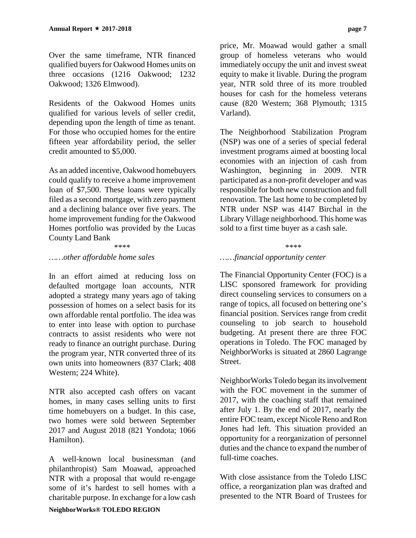Over the same timeframe, NTR financed qualified buyers for Oakwood Homes units on three occasions (1216 Oakwood; 1232 Oakwood; 1326 Elmwood).

Residents of the Oakwood Homes units qualified for various levels of seller credit, depending upon the length of time as tenant. For those who occupied homes for the entire fifteen year affordability period, the seller credit amounted to \$5,000.

As an added incentive, Oakwood homebuyers could qualify to receive a home improvement loan of \$7,500. These loans were typically filed as a second mortgage, with zero payment and a declining balance over five years. The home improvement funding for the Oakwood Homes portfolio was provided by the Lucas County Land Bank

### \*\*\*\*

### *……other affordable home sales*

In an effort aimed at reducing loss on defaulted mortgage loan accounts, NTR adopted a strategy many years ago of taking possession of homes on a select basis for its own affordable rental portfolio. The idea was to enter into lease with option to purchase contracts to assist residents who were not ready to finance an outright purchase. During the program year, NTR converted three of its own units into homeowners (837 Clark; 408 Western; 224 White).

NTR also accepted cash offers on vacant homes, in many cases selling units to first time homebuyers on a budget. In this case, two homes were sold between September 2017 and August 2018 (821 Yondota; 1066 Hamilton).

A well-known local businessman (and philanthropist) Sam Moawad, approached NTR with a proposal that would re-engage some of it's hardest to sell homes with a charitable purpose. In exchange for a low cash

price, Mr. Moawad would gather a small group of homeless veterans who would immediately occupy the unit and invest sweat equity to make it livable. During the program year, NTR sold three of its more troubled houses for cash for the homeless veterans cause (820 Western; 368 Plymouth; 1315 Varland).

The Neighborhood Stabilization Program (NSP) was one of a series of special federal investment programs aimed at boosting local economies with an injection of cash from Washington, beginning in 2009. NTR participated as a non-profit developer and was responsible for both new construction and full renovation. The last home to be completed by NTR under NSP was 4147 Birchal in the Library Village neighborhood. This home was sold to a first time buyer as a cash sale.

### \*\*\*\*

### *……financial opportunity center*

The Financial Opportunity Center (FOC) is a LISC sponsored framework for providing direct counseling services to consumers on a range of topics, all focused on bettering one's financial position. Services range from credit counseling to job search to household budgeting. At present there are three FOC operations in Toledo. The FOC managed by NeighborWorks is situated at 2860 Lagrange Street.

NeighborWorks Toledo began its involvement with the FOC movement in the summer of 2017, with the coaching staff that remained after July 1. By the end of 2017, nearly the entire FOC team, except Nicole Reno and Ron Jones had left. This situation provided an opportunity for a reorganization of personnel duties and the chance to expand the number of full-time coaches.

With close assistance from the Toledo LISC office, a reorganization plan was drafted and presented to the NTR Board of Trustees for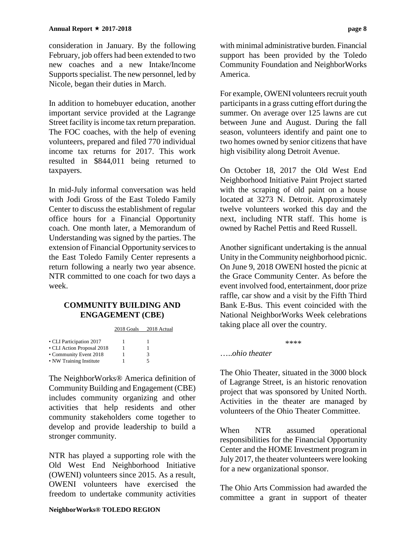consideration in January. By the following February, job offers had been extended to two new coaches and a new Intake/Income Supports specialist. The new personnel, led by Nicole, began their duties in March.

In addition to homebuyer education, another important service provided at the Lagrange Street facility is income tax return preparation. The FOC coaches, with the help of evening volunteers, prepared and filed 770 individual income tax returns for 2017. This work resulted in \$844,011 being returned to taxpayers.

In mid-July informal conversation was held with Jodi Gross of the East Toledo Family Center to discuss the establishment of regular office hours for a Financial Opportunity coach. One month later, a Memorandum of Understanding was signed by the parties. The extension of Financial Opportunity services to the East Toledo Family Center represents a return following a nearly two year absence. NTR committed to one coach for two days a week.

### **COMMUNITY BUILDING AND ENGAGEMENT (CBE)**

2018 Goals 2018 Actual

| • CLI Participation 2017   |   |
|----------------------------|---|
| • CLI Action Proposal 2018 |   |
| • Community Event 2018     | 3 |
| • NW Training Institute    | 5 |

The NeighborWorks® America definition of Community Building and Engagement (CBE) includes community organizing and other activities that help residents and other community stakeholders come together to develop and provide leadership to build a stronger community.

NTR has played a supporting role with the Old West End Neighborhood Initiative (OWENI) volunteers since 2015. As a result, OWENI volunteers have exercised the freedom to undertake community activities with minimal administrative burden. Financial support has been provided by the Toledo Community Foundation and NeighborWorks America.

For example, OWENI volunteers recruit youth participants in a grass cutting effort during the summer. On average over 125 lawns are cut between June and August. During the fall season, volunteers identify and paint one to two homes owned by senior citizens that have high visibility along Detroit Avenue.

On October 18, 2017 the Old West End Neighborhood Initiative Paint Project started with the scraping of old paint on a house located at 3273 N. Detroit. Approximately twelve volunteers worked this day and the next, including NTR staff. This home is owned by Rachel Pettis and Reed Russell.

Another significant undertaking is the annual Unity in the Community neighborhood picnic. On June 9, 2018 OWENI hosted the picnic at the Grace Community Center. As before the event involved food, entertainment, door prize raffle, car show and a visit by the Fifth Third Bank E-Bus. This event coincided with the National NeighborWorks Week celebrations taking place all over the country.

\*\*\*\*

### …..*ohio theater*

The Ohio Theater, situated in the 3000 block of Lagrange Street, is an historic renovation project that was sponsored by United North. Activities in the theater are managed by volunteers of the Ohio Theater Committee.

When NTR assumed operational responsibilities for the Financial Opportunity Center and the HOME Investment program in July 2017, the theater volunteers were looking for a new organizational sponsor.

The Ohio Arts Commission had awarded the committee a grant in support of theater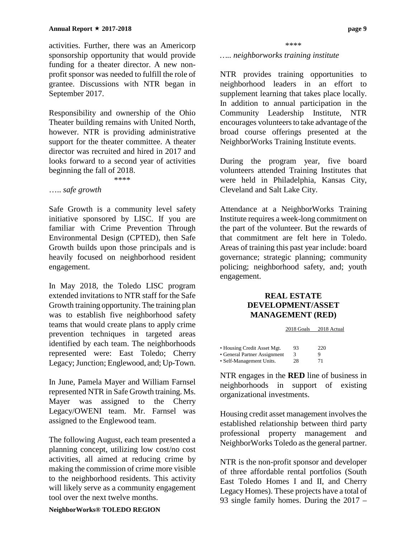activities. Further, there was an Americorp sponsorship opportunity that would provide funding for a theater director. A new nonprofit sponsor was needed to fulfill the role of grantee. Discussions with NTR began in September 2017.

Responsibility and ownership of the Ohio Theater building remains with United North, however. NTR is providing administrative support for the theater committee. A theater director was recruited and hired in 2017 and looks forward to a second year of activities beginning the fall of 2018. \*\*\*\*

….. *safe growth*

Safe Growth is a community level safety initiative sponsored by LISC. If you are familiar with Crime Prevention Through Environmental Design (CPTED), then Safe Growth builds upon those principals and is heavily focused on neighborhood resident engagement.

In May 2018, the Toledo LISC program extended invitations to NTR staff for the Safe Growth training opportunity. The training plan was to establish five neighborhood safety teams that would create plans to apply crime prevention techniques in targeted areas identified by each team. The neighborhoods represented were: East Toledo; Cherry Legacy; Junction; Englewood, and; Up-Town.

In June, Pamela Mayer and William Farnsel represented NTR in Safe Growth training. Ms. Mayer was assigned to the Cherry Legacy/OWENI team. Mr. Farnsel was assigned to the Englewood team.

The following August, each team presented a planning concept, utilizing low cost/no cost activities, all aimed at reducing crime by making the commission of crime more visible to the neighborhood residents. This activity will likely serve as a community engagement tool over the next twelve months.

#### \*\*\*\*

### *….. neighborworks training institute*

NTR provides training opportunities to neighborhood leaders in an effort to supplement learning that takes place locally. In addition to annual participation in the Community Leadership Institute, NTR encourages volunteers to take advantage of the broad course offerings presented at the NeighborWorks Training Institute events.

During the program year, five board volunteers attended Training Institutes that were held in Philadelphia, Kansas City, Cleveland and Salt Lake City.

Attendance at a NeighborWorks Training Institute requires a week-long commitment on the part of the volunteer. But the rewards of that commitment are felt here in Toledo. Areas of training this past year include: board governance; strategic planning; community policing; neighborhood safety, and; youth engagement.

### **REAL ESTATE DEVELOPMENT/ASSET MANAGEMENT (RED)**

|                              | 2018 Goals | 2018 Actual |
|------------------------------|------------|-------------|
|                              |            |             |
| • Housing Credit Asset Mgt.  | 93         | 220         |
| • General Partner Assignment | 3          |             |
| • Self-Management Units.     | 28         | 71          |

NTR engages in the **RED** line of business in neighborhoods in support of existing organizational investments.

Housing credit asset management involves the established relationship between third party professional property management and NeighborWorks Toledo as the general partner.

NTR is the non-profit sponsor and developer of three affordable rental portfolios (South East Toledo Homes I and II, and Cherry Legacy Homes). These projects have a total of 93 single family homes. During the 2017 –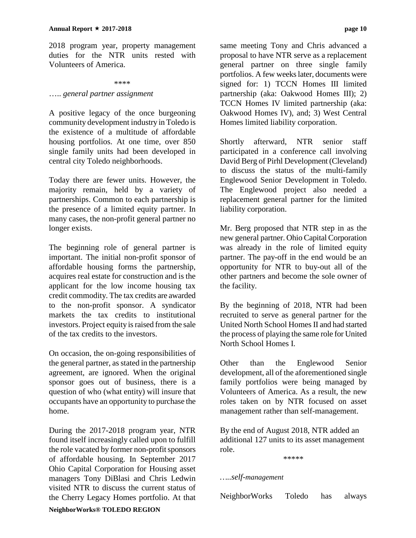2018 program year, property management duties for the NTR units rested with Volunteers of America.

#### \*\*\*\*

### ….. *general partner assignment*

A positive legacy of the once burgeoning community development industry in Toledo is the existence of a multitude of affordable housing portfolios. At one time, over 850 single family units had been developed in central city Toledo neighborhoods.

Today there are fewer units. However, the majority remain, held by a variety of partnerships. Common to each partnership is the presence of a limited equity partner. In many cases, the non-profit general partner no longer exists.

The beginning role of general partner is important. The initial non-profit sponsor of affordable housing forms the partnership, acquires real estate for construction and is the applicant for the low income housing tax credit commodity. The tax credits are awarded to the non-profit sponsor. A syndicator markets the tax credits to institutional investors. Project equity is raised from the sale of the tax credits to the investors.

On occasion, the on-going responsibilities of the general partner, as stated in the partnership agreement, are ignored. When the original sponsor goes out of business, there is a question of who (what entity) will insure that occupants have an opportunity to purchase the home.

During the 2017-2018 program year, NTR found itself increasingly called upon to fulfill the role vacated by former non-profit sponsors of affordable housing. In September 2017 Ohio Capital Corporation for Housing asset managers Tony DiBlasi and Chris Ledwin visited NTR to discuss the current status of the Cherry Legacy Homes portfolio. At that

same meeting Tony and Chris advanced a proposal to have NTR serve as a replacement general partner on three single family portfolios. A few weeks later, documents were signed for: 1) TCCN Homes III limited partnership (aka: Oakwood Homes III); 2) TCCN Homes IV limited partnership (aka: Oakwood Homes IV), and; 3) West Central Homes limited liability corporation.

Shortly afterward, NTR senior staff participated in a conference call involving David Berg of Pirhl Development (Cleveland) to discuss the status of the multi-family Englewood Senior Development in Toledo. The Englewood project also needed a replacement general partner for the limited liability corporation.

Mr. Berg proposed that NTR step in as the new general partner. Ohio Capital Corporation was already in the role of limited equity partner. The pay-off in the end would be an opportunity for NTR to buy-out all of the other partners and become the sole owner of the facility.

By the beginning of 2018, NTR had been recruited to serve as general partner for the United North School Homes II and had started the process of playing the same role for United North School Homes I.

Other than the Englewood Senior development, all of the aforementioned single family portfolios were being managed by Volunteers of America. As a result, the new roles taken on by NTR focused on asset management rather than self-management.

By the end of August 2018, NTR added an additional 127 units to its asset management role.

\*\*\*\*\*

### *…..self-management*

NeighborWorks Toledo has always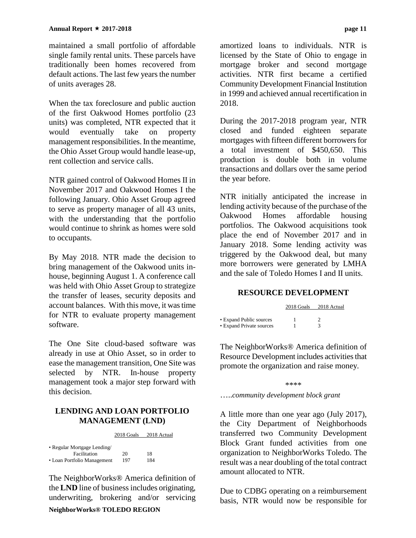maintained a small portfolio of affordable single family rental units. These parcels have traditionally been homes recovered from default actions. The last few years the number of units averages 28.

When the tax foreclosure and public auction of the first Oakwood Homes portfolio (23 units) was completed, NTR expected that it would eventually take on property management responsibilities. In the meantime, the Ohio Asset Group would handle lease-up, rent collection and service calls.

NTR gained control of Oakwood Homes II in November 2017 and Oakwood Homes I the following January. Ohio Asset Group agreed to serve as property manager of all 43 units, with the understanding that the portfolio would continue to shrink as homes were sold to occupants.

By May 2018. NTR made the decision to bring management of the Oakwood units inhouse, beginning August 1. A conference call was held with Ohio Asset Group to strategize the transfer of leases, security deposits and account balances. With this move, it was time for NTR to evaluate property management software.

The One Site cloud-based software was already in use at Ohio Asset, so in order to ease the management transition, One Site was selected by NTR. In-house property management took a major step forward with this decision.

### **LENDING AND LOAN PORTFOLIO MANAGEMENT (LND)**

2018 Goals 2018 Actual

| • Regular Mortgage Lending/ |     |     |
|-----------------------------|-----|-----|
| Facilitation                | 20  | 18  |
| • Loan Portfolio Management | 197 | 184 |

The NeighborWorks® America definition of the **LND** line of business includes originating, underwriting, brokering and/or servicing

amortized loans to individuals. NTR is licensed by the State of Ohio to engage in mortgage broker and second mortgage activities. NTR first became a certified Community Development Financial Institution in 1999 and achieved annual recertification in 2018.

During the 2017-2018 program year, NTR closed and funded eighteen separate mortgages with fifteen different borrowers for a total investment of \$450,650. This production is double both in volume transactions and dollars over the same period the year before.

NTR initially anticipated the increase in lending activity because of the purchase of the Oakwood Homes affordable housing portfolios. The Oakwood acquisitions took place the end of November 2017 and in January 2018. Some lending activity was triggered by the Oakwood deal, but many more borrowers were generated by LMHA and the sale of Toledo Homes I and II units.

### **RESOURCE DEVELOPMENT**

|                          | 2018 Goals | 2018 Actual |  |
|--------------------------|------------|-------------|--|
|                          |            |             |  |
| • Expand Public sources  |            |             |  |
| • Expand Private sources |            |             |  |

The NeighborWorks® America definition of Resource Development includes activities that promote the organization and raise money.

\*\*\*\*

…..*community development block grant*

A little more than one year ago (July 2017), the City Department of Neighborhoods transferred two Community Development Block Grant funded activities from one organization to NeighborWorks Toledo. The result was a near doubling of the total contract amount allocated to NTR.

Due to CDBG operating on a reimbursement basis, NTR would now be responsible for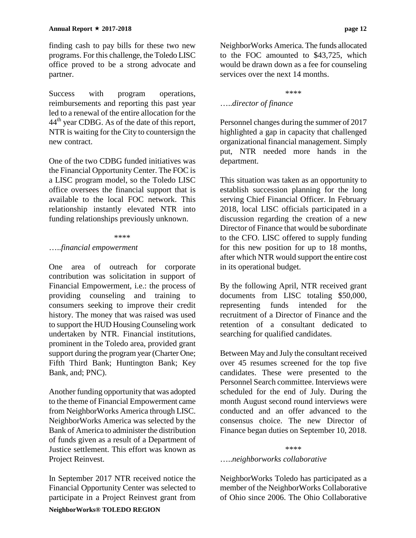finding cash to pay bills for these two new programs. For this challenge, the Toledo LISC office proved to be a strong advocate and partner.

Success with program operations, reimbursements and reporting this past year led to a renewal of the entire allocation for the 44<sup>th</sup> year CDBG. As of the date of this report, NTR is waiting for the City to countersign the new contract.

One of the two CDBG funded initiatives was the Financial Opportunity Center. The FOC is a LISC program model, so the Toledo LISC office oversees the financial support that is available to the local FOC network. This relationship instantly elevated NTR into funding relationships previously unknown.

#### \*\*\*\*

### …..*financial empowerment*

One area of outreach for corporate contribution was solicitation in support of Financial Empowerment, i.e.: the process of providing counseling and training to consumers seeking to improve their credit history. The money that was raised was used to support the HUD Housing Counseling work undertaken by NTR. Financial institutions, prominent in the Toledo area, provided grant support during the program year (Charter One; Fifth Third Bank; Huntington Bank; Key Bank, and; PNC).

Another funding opportunity that was adopted to the theme of Financial Empowerment came from NeighborWorks America through LISC. NeighborWorks America was selected by the Bank of America to administer the distribution of funds given as a result of a Department of Justice settlement. This effort was known as Project Reinvest.

**NeighborWorks® TOLEDO REGION** In September 2017 NTR received notice the Financial Opportunity Center was selected to participate in a Project Reinvest grant from NeighborWorks America. The funds allocated to the FOC amounted to \$43,725, which would be drawn down as a fee for counseling services over the next 14 months.

#### \*\*\*\*

### …..*director of finance*

Personnel changes during the summer of 2017 highlighted a gap in capacity that challenged organizational financial management. Simply put, NTR needed more hands in the department.

This situation was taken as an opportunity to establish succession planning for the long serving Chief Financial Officer. In February 2018, local LISC officials participated in a discussion regarding the creation of a new Director of Finance that would be subordinate to the CFO. LISC offered to supply funding for this new position for up to 18 months, after which NTR would support the entire cost in its operational budget.

By the following April, NTR received grant documents from LISC totaling \$50,000,<br>representing funds intended for the representing funds intended for the recruitment of a Director of Finance and the retention of a consultant dedicated to searching for qualified candidates.

Between May and July the consultant received over 45 resumes screened for the top five candidates. These were presented to the Personnel Search committee. Interviews were scheduled for the end of July. During the month August second round interviews were conducted and an offer advanced to the consensus choice. The new Director of Finance began duties on September 10, 2018.

### \*\*\*\*

### …..*neighborworks collaborative*

NeighborWorks Toledo has participated as a member of the NeighborWorks Collaborative of Ohio since 2006. The Ohio Collaborative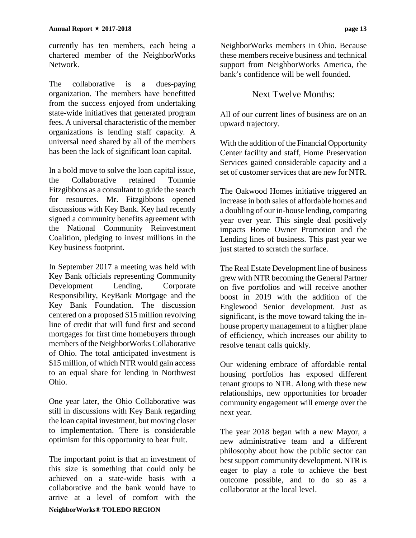currently has ten members, each being a chartered member of the NeighborWorks Network.

The collaborative is a dues-paying organization. The members have benefitted from the success enjoyed from undertaking state-wide initiatives that generated program fees. A universal characteristic of the member organizations is lending staff capacity. A universal need shared by all of the members has been the lack of significant loan capital.

In a bold move to solve the loan capital issue, the Collaborative retained Tommie Fitzgibbons as a consultant to guide the search for resources. Mr. Fitzgibbons opened discussions with Key Bank. Key had recently signed a community benefits agreement with the National Community Reinvestment Coalition, pledging to invest millions in the Key business footprint.

In September 2017 a meeting was held with Key Bank officials representing Community Development Lending, Corporate Responsibility, KeyBank Mortgage and the Key Bank Foundation. The discussion centered on a proposed \$15 million revolving line of credit that will fund first and second mortgages for first time homebuyers through members of the NeighborWorks Collaborative of Ohio. The total anticipated investment is \$15 million, of which NTR would gain access to an equal share for lending in Northwest Ohio.

One year later, the Ohio Collaborative was still in discussions with Key Bank regarding the loan capital investment, but moving closer to implementation. There is considerable optimism for this opportunity to bear fruit.

**NeighborWorks® TOLEDO REGION** The important point is that an investment of this size is something that could only be achieved on a state-wide basis with a collaborative and the bank would have to arrive at a level of comfort with the

NeighborWorks members in Ohio. Because these members receive business and technical support from NeighborWorks America, the bank's confidence will be well founded.

### Next Twelve Months:

All of our current lines of business are on an upward trajectory.

With the addition of the Financial Opportunity Center facility and staff, Home Preservation Services gained considerable capacity and a set of customer services that are new for NTR.

The Oakwood Homes initiative triggered an increase in both sales of affordable homes and a doubling of our in-house lending, comparing year over year. This single deal positively impacts Home Owner Promotion and the Lending lines of business. This past year we just started to scratch the surface.

The Real Estate Development line of business grew with NTR becoming the General Partner on five portfolios and will receive another boost in 2019 with the addition of the Englewood Senior development. Just as significant, is the move toward taking the inhouse property management to a higher plane of efficiency, which increases our ability to resolve tenant calls quickly.

Our widening embrace of affordable rental housing portfolios has exposed different tenant groups to NTR. Along with these new relationships, new opportunities for broader community engagement will emerge over the next year.

The year 2018 began with a new Mayor, a new administrative team and a different philosophy about how the public sector can best support community development. NTR is eager to play a role to achieve the best outcome possible, and to do so as a collaborator at the local level.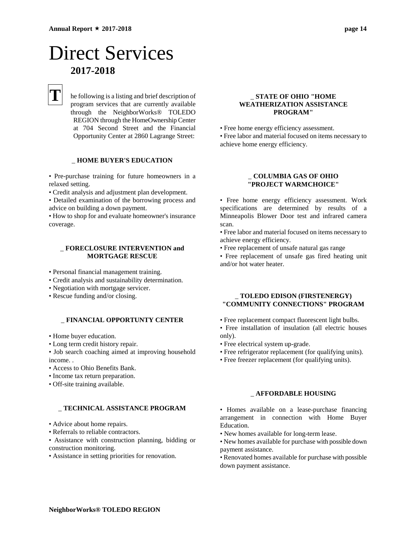## Direct Services **2017-2018**

## **T**

he following is a listing and brief description of program services that are currently available through the NeighborWorks® TOLEDO REGION through the HomeOwnership Center at 704 Second Street and the Financial Opportunity Center at 2860 Lagrange Street:

### \_ **HOME BUYER'S EDUCATION**

• Pre-purchase training for future homeowners in a relaxed setting.

• Credit analysis and adjustment plan development.

• Detailed examination of the borrowing process and advice on building a down payment.

• How to shop for and evaluate homeowner's insurance coverage.

### \_ **FORECLOSURE INTERVENTION and MORTGAGE RESCUE**

• Personal financial management training.

- Credit analysis and sustainability determination.
- Negotiation with mortgage servicer.
- Rescue funding and/or closing.

### \_ **FINANCIAL OPPORTUNTY CENTER**

- Home buyer education.
- Long term credit history repair.

• Job search coaching aimed at improving household income. .

- Access to Ohio Benefits Bank.
- Income tax return preparation.
- Off-site training available.

### \_ **TECHNICAL ASSISTANCE PROGRAM**

- Advice about home repairs.
- Referrals to reliable contractors.

• Assistance with construction planning, bidding or construction monitoring.

• Assistance in setting priorities for renovation.

### \_ **STATE OF OHIO "HOME WEATHERIZATION ASSISTANCE PROGRAM"**

• Free home energy efficiency assessment.

• Free labor and material focused on items necessary to achieve home energy efficiency.

### \_ **COLUMBIA GAS OF OHIO "PROJECT WARMCHOICE"**

• Free home energy efficiency assessment. Work specifications are determined by results of a Minneapolis Blower Door test and infrared camera scan.

• Free labor and material focused on items necessary to achieve energy efficiency.

• Free replacement of unsafe natural gas range

• Free replacement of unsafe gas fired heating unit and/or hot water heater.

#### \_ **TOLEDO EDISON (FIRSTENERGY) "COMMUNITY CONNECTIONS" PROGRAM**

- Free replacement compact fluorescent light bulbs.
- Free installation of insulation (all electric houses only).
- Free electrical system up-grade.
- Free refrigerator replacement (for qualifying units).
- Free freezer replacement (for qualifying units).

#### \_ **AFFORDABLE HOUSING**

• Homes available on a lease-purchase financing arrangement in connection with Home Buyer Education.

- New homes available for long-term lease.
- New homes available for purchase with possible down payment assistance.
- Renovated homes available for purchase with possible down payment assistance.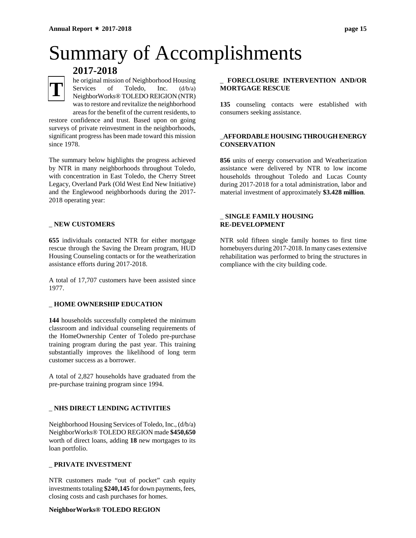**2017-2018**

# Summary of Accomplishments



he original mission of Neighborhood Housing Services of Toledo, Inc. (d/b/a) NeighborWorks® TOLEDO REIGION (NTR) was to restore and revitalize the neighborhood areas for the benefit of the current residents, to

restore confidence and trust. Based upon on going surveys of private reinvestment in the neighborhoods, significant progress has been made toward this mission since 1978.

The summary below highlights the progress achieved by NTR in many neighborhoods throughout Toledo, with concentration in East Toledo, the Cherry Street Legacy, Overland Park (Old West End New Initiative) and the Englewood neighborhoods during the 2017- 2018 operating year:

### \_ **NEW CUSTOMERS**

**655** individuals contacted NTR for either mortgage rescue through the Saving the Dream program, HUD Housing Counseling contacts or for the weatherization assistance efforts during 2017-2018.

A total of 17,707 customers have been assisted since 1977.

### \_ **HOME OWNERSHIP EDUCATION**

**144** households successfully completed the minimum classroom and individual counseling requirements of the HomeOwnership Center of Toledo pre-purchase training program during the past year. This training substantially improves the likelihood of long term customer success as a borrower.

A total of 2,827 households have graduated from the pre-purchase training program since 1994.

### \_ **NHS DIRECT LENDING ACTIVITIES**

Neighborhood Housing Services of Toledo, Inc., (d/b/a) NeighborWorks® TOLEDO REGION made **\$450,650** worth of direct loans, adding **18** new mortgages to its loan portfolio.

#### \_ **PRIVATE INVESTMENT**

NTR customers made "out of pocket" cash equity investments totaling **\$240,145** for down payments, fees, closing costs and cash purchases for homes.

### **NeighborWorks® TOLEDO REGION**

### \_ **FORECLOSURE INTERVENTION AND/OR MORTGAGE RESCUE**

**135** counseling contacts were established with consumers seeking assistance.

### \_**AFFORDABLE HOUSING THROUGH ENERGY CONSERVATION**

**856** units of energy conservation and Weatherization assistance were delivered by NTR to low income households throughout Toledo and Lucas County during 2017-2018 for a total administration, labor and material investment of approximately **\$3.428 million**.

### \_ **SINGLE FAMILY HOUSING RE-DEVELOPMENT**

NTR sold fifteen single family homes to first time homebuyers during 2017-2018. In many cases extensive rehabilitation was performed to bring the structures in compliance with the city building code.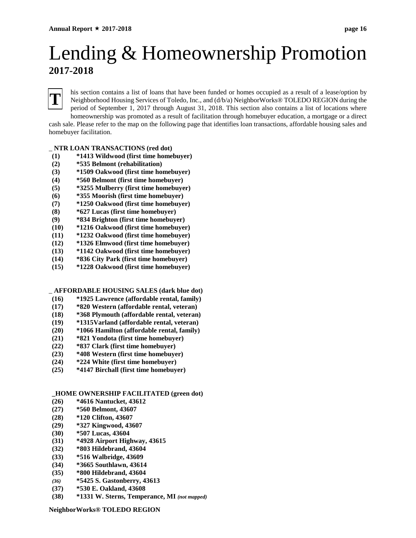## Lending & Homeownership Promotion **2017-2018**

## **T**

his section contains a list of loans that have been funded or homes occupied as a result of a lease/option by Neighborhood Housing Services of Toledo, Inc., and (d/b/a) NeighborWorks® TOLEDO REGION during the period of September 1, 2017 through August 31, 2018. This section also contains a list of locations where homeownership was promoted as a result of facilitation through homebuyer education, a mortgage or a direct

cash sale. Please refer to the map on the following page that identifies loan transactions, affordable housing sales and homebuyer facilitation.

\_ **NTR LOAN TRANSACTIONS (red dot)**

- **(1) \*1413 Wildwood (first time homebuyer)**
- **(2) \*535 Belmont (rehabilitation)**
- **(3) \*1509 Oakwood (first time homebuyer)**
- **(4) \*560 Belmont (first time homebuyer)**
- **(5) \*3255 Mulberry (first time homebuyer)**
- **(6) \*355 Moorish (first time homebuyer)**
- **(7) \*1250 Oakwood (first time homebuyer)**
- **(8) \*627 Lucas (first time homebuyer)**
- **(9) \*834 Brighton (first time homebuyer)**
- **(10) \*1216 Oakwood (first time homebuyer)**
- **(11) \*1232 Oakwood (first time homebuyer)**
- **(12) \*1326 Elmwood (first time homebuyer)**
- **(13) \*1142 Oakwood (first time homebuyer)**
- **(14) \*836 City Park (first time homebuyer) (15) \*1228 Oakwood (first time homebuyer)**

\_ **AFFORDABLE HOUSING SALES (dark blue dot)**

- **(16) \*1925 Lawrence (affordable rental, family)**
- **(17) \*820 Western (affordable rental, veteran)**
- **(18) \*368 Plymouth (affordable rental, veteran)**
- **(19) \*1315Varland (affordable rental, veteran)**
- **(20) \*1066 Hamilton (affordable rental, family)**
- **(21) \*821 Yondota (first time homebuyer)**
- **(22) \*837 Clark (first time homebuyer)**
- **(23) \*408 Western (first time homebuyer)**
- **(24) \*224 White (first time homebuyer)**
- **(25) \*4147 Birchall (first time homebuyer)**

### **\_HOME OWNERSHIP FACILITATED (green dot)**

- **(26) \*4616 Nantucket, 43612**
- **(27) \*560 Belmont, 43607**
- **(28) \*120 Clifton, 43607**
- **(29) \*327 Kingwood, 43607**
- **(30) \*507 Lucas, 43604**
- **(31) \*4928 Airport Highway, 43615**
- **(32) \*803 Hildebrand, 43604**
- **(33) \*516 Walbridge, 43609**
- **(34) \*3665 Southlawn, 43614**
- **(35) \*800 Hildebrand, 43604**
- *(36)* **\*5425 S. Gastonberry, 43613**
- **(37) \*530 E. Oakland, 43608**
- **(38) \*1331 W. Sterns, Temperance, MI** *(not mapped)*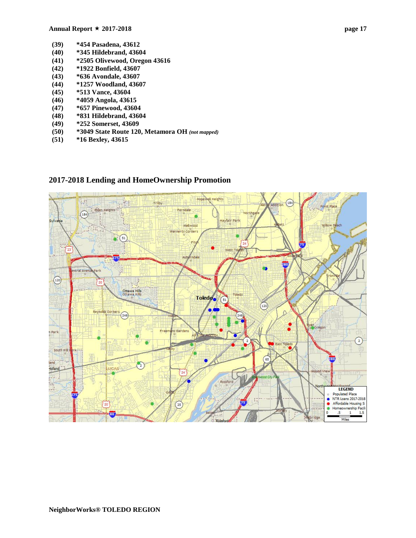- **(39) \*454 Pasadena, 43612**
- **(40) \*345 Hildebrand, 43604**
- **(41) \*2505 Olivewood, Oregon 43616**
- **(42) \*1922 Bonfield, 43607**
- **(43) \*636 Avondale, 43607**
- **(44) \*1257 Woodland, 43607**
- **(45) \*513 Vance, 43604**
- **(46) \*4059 Angola, 43615**
- **(47) \*657 Pinewood, 43604**
- **(48) \*831 Hildebrand, 43604**
- **(49) \*252 Somerset, 43609**
- **(50) \*3049 State Route 120, Metamora OH** *(not mapped)*
- **(51) \*16 Bexley, 43615**



### **2017-2018 Lending and HomeOwnership Promotion**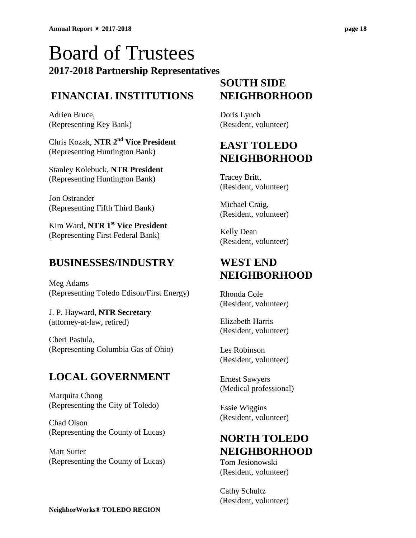## Board of Trustees **2017-2018 Partnership Representatives**

### **FINANCIAL INSTITUTIONS**

Adrien Bruce, (Representing Key Bank)

Chris Kozak, **NTR 2nd Vice President** (Representing Huntington Bank)

Stanley Kolebuck, **NTR President** (Representing Huntington Bank)

Jon Ostrander (Representing Fifth Third Bank)

Kim Ward, **NTR 1st Vice President** (Representing First Federal Bank)

### **BUSINESSES/INDUSTRY**

Meg Adams (Representing Toledo Edison/First Energy)

J. P. Hayward, **NTR Secretary** (attorney-at-law, retired)

Cheri Pastula, (Representing Columbia Gas of Ohio)

### **LOCAL GOVERNMENT**

Marquita Chong (Representing the City of Toledo)

Chad Olson (Representing the County of Lucas)

Matt Sutter (Representing the County of Lucas)

### **SOUTH SIDE NEIGHBORHOOD**

Doris Lynch (Resident, volunteer)

### **EAST TOLEDO NEIGHBORHOOD**

Tracey Britt, (Resident, volunteer)

Michael Craig, (Resident, volunteer)

Kelly Dean (Resident, volunteer)

### **WEST END NEIGHBORHOOD**

Rhonda Cole (Resident, volunteer)

Elizabeth Harris (Resident, volunteer)

Les Robinson (Resident, volunteer)

Ernest Sawyers (Medical professional)

Essie Wiggins (Resident, volunteer)

### **NORTH TOLEDO NEIGHBORHOOD**

Tom Jesionowski (Resident, volunteer)

Cathy Schultz (Resident, volunteer)

**NeighborWorks® TOLEDO REGION**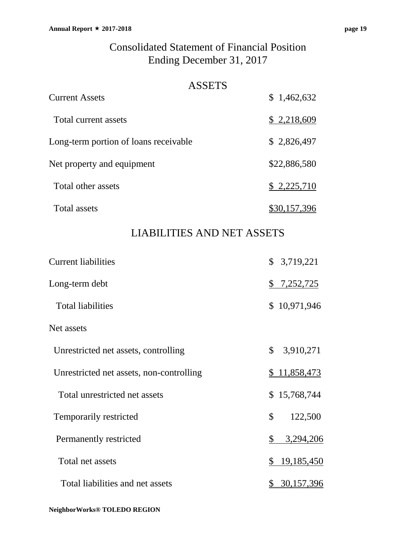### ASSETS

| <b>Current Assets</b>                 | \$1,462,632  |
|---------------------------------------|--------------|
| Total current assets                  | \$2,218,609  |
| Long-term portion of loans receivable | \$2,826,497  |
| Net property and equipment            | \$22,886,580 |
| Total other assets                    | \$2,225,710  |
| <b>Total assets</b>                   | \$30,157,396 |

### LIABILITIES AND NET ASSETS

| <b>Current liabilities</b>               | \$3,719,221         |
|------------------------------------------|---------------------|
| Long-term debt                           | \$7,252,725         |
| <b>Total liabilities</b>                 | \$10,971,946        |
| Net assets                               |                     |
| Unrestricted net assets, controlling     | \$3,910,271         |
| Unrestricted net assets, non-controlling | <u>\$11,858,473</u> |
| Total unrestricted net assets            | \$15,768,744        |
| Temporarily restricted                   | \$<br>122,500       |
| Permanently restricted                   | \$<br>3,294,206     |
| Total net assets                         | 19,185,450<br>\$    |
| Total liabilities and net assets         | 30,157,396          |